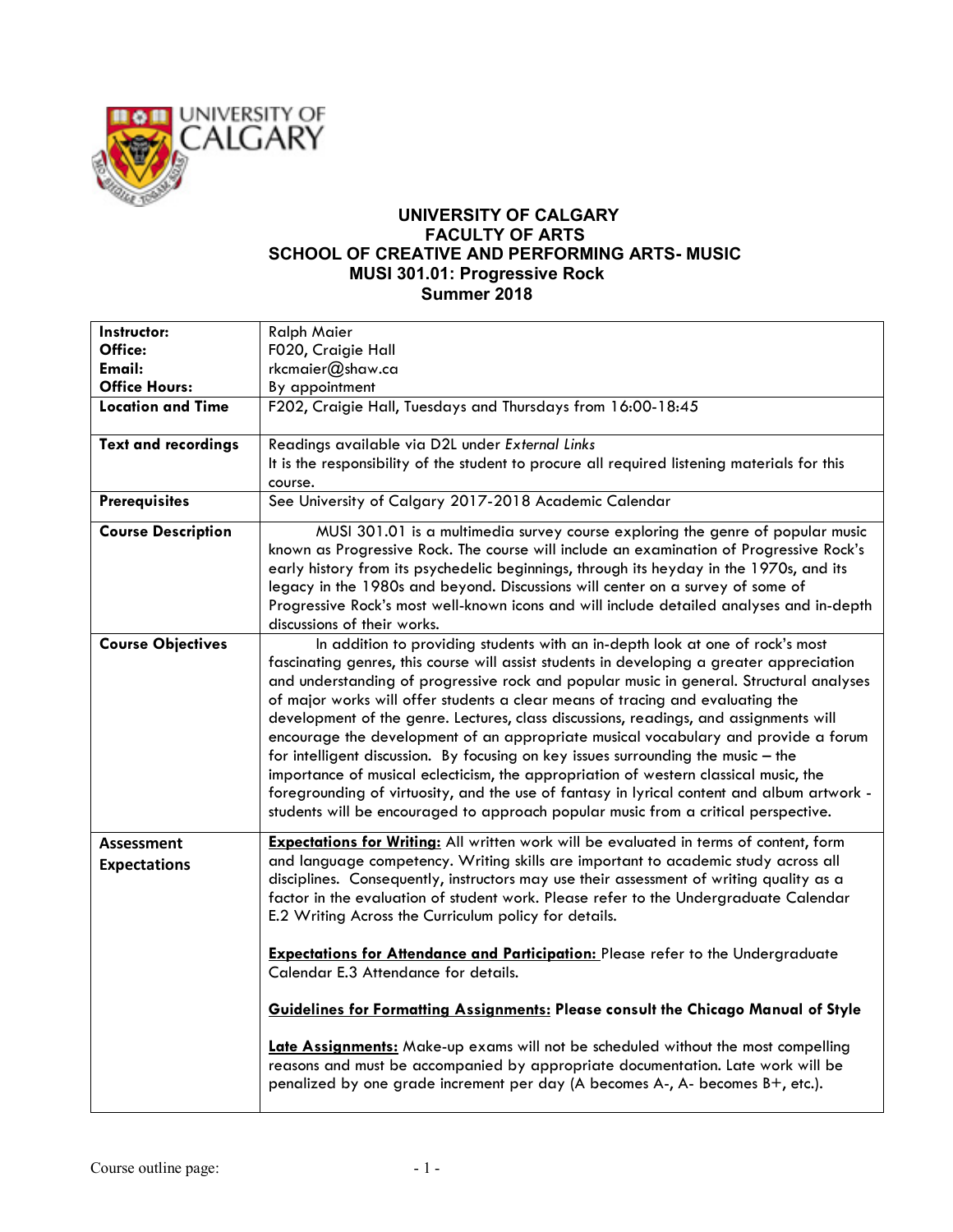

## **UNIVERSITY OF CALGARY FACULTY OF ARTS SCHOOL OF CREATIVE AND PERFORMING ARTS- MUSIC MUSI 301.01: Progressive Rock Summer 2018**

| Instructor:                              | <b>Ralph Maier</b>                                                                                                                                                                                                                                                                                                                                                                                                                                                                                                                                                                                                                                                                                                                                                                                                                                                                                      |
|------------------------------------------|---------------------------------------------------------------------------------------------------------------------------------------------------------------------------------------------------------------------------------------------------------------------------------------------------------------------------------------------------------------------------------------------------------------------------------------------------------------------------------------------------------------------------------------------------------------------------------------------------------------------------------------------------------------------------------------------------------------------------------------------------------------------------------------------------------------------------------------------------------------------------------------------------------|
| Office:                                  | F020, Craigie Hall                                                                                                                                                                                                                                                                                                                                                                                                                                                                                                                                                                                                                                                                                                                                                                                                                                                                                      |
| Email:                                   | rkcmaier@shaw.ca                                                                                                                                                                                                                                                                                                                                                                                                                                                                                                                                                                                                                                                                                                                                                                                                                                                                                        |
| <b>Office Hours:</b>                     | By appointment                                                                                                                                                                                                                                                                                                                                                                                                                                                                                                                                                                                                                                                                                                                                                                                                                                                                                          |
| <b>Location and Time</b>                 | F202, Craigie Hall, Tuesdays and Thursdays from 16:00-18:45                                                                                                                                                                                                                                                                                                                                                                                                                                                                                                                                                                                                                                                                                                                                                                                                                                             |
| <b>Text and recordings</b>               | Readings available via D2L under External Links<br>It is the responsibility of the student to procure all required listening materials for this<br>course.                                                                                                                                                                                                                                                                                                                                                                                                                                                                                                                                                                                                                                                                                                                                              |
| <b>Prerequisites</b>                     | See University of Calgary 2017-2018 Academic Calendar                                                                                                                                                                                                                                                                                                                                                                                                                                                                                                                                                                                                                                                                                                                                                                                                                                                   |
| <b>Course Description</b>                | MUSI 301.01 is a multimedia survey course exploring the genre of popular music<br>known as Progressive Rock. The course will include an examination of Progressive Rock's<br>early history from its psychedelic beginnings, through its heyday in the 1970s, and its<br>legacy in the 1980s and beyond. Discussions will center on a survey of some of<br>Progressive Rock's most well-known icons and will include detailed analyses and in-depth<br>discussions of their works.                                                                                                                                                                                                                                                                                                                                                                                                                       |
| <b>Course Objectives</b>                 | In addition to providing students with an in-depth look at one of rock's most<br>fascinating genres, this course will assist students in developing a greater appreciation<br>and understanding of progressive rock and popular music in general. Structural analyses<br>of major works will offer students a clear means of tracing and evaluating the<br>development of the genre. Lectures, class discussions, readings, and assignments will<br>encourage the development of an appropriate musical vocabulary and provide a forum<br>for intelligent discussion. By focusing on key issues surrounding the music - the<br>importance of musical eclecticism, the appropriation of western classical music, the<br>foregrounding of virtuosity, and the use of fantasy in lyrical content and album artwork -<br>students will be encouraged to approach popular music from a critical perspective. |
| <b>Assessment</b><br><b>Expectations</b> | <b>Expectations for Writing:</b> All written work will be evaluated in terms of content, form<br>and language competency. Writing skills are important to academic study across all<br>disciplines. Consequently, instructors may use their assessment of writing quality as a<br>factor in the evaluation of student work. Please refer to the Undergraduate Calendar<br>E.2 Writing Across the Curriculum policy for details.<br><b>Expectations for Attendance and Participation:</b> Please refer to the Undergraduate<br>Calendar E.3 Attendance for details.<br><b>Guidelines for Formatting Assignments: Please consult the Chicago Manual of Style</b><br>Late Assignments: Make-up exams will not be scheduled without the most compelling<br>reasons and must be accompanied by appropriate documentation. Late work will be                                                                  |
|                                          | penalized by one grade increment per day (A becomes A-, A- becomes B+, etc.).                                                                                                                                                                                                                                                                                                                                                                                                                                                                                                                                                                                                                                                                                                                                                                                                                           |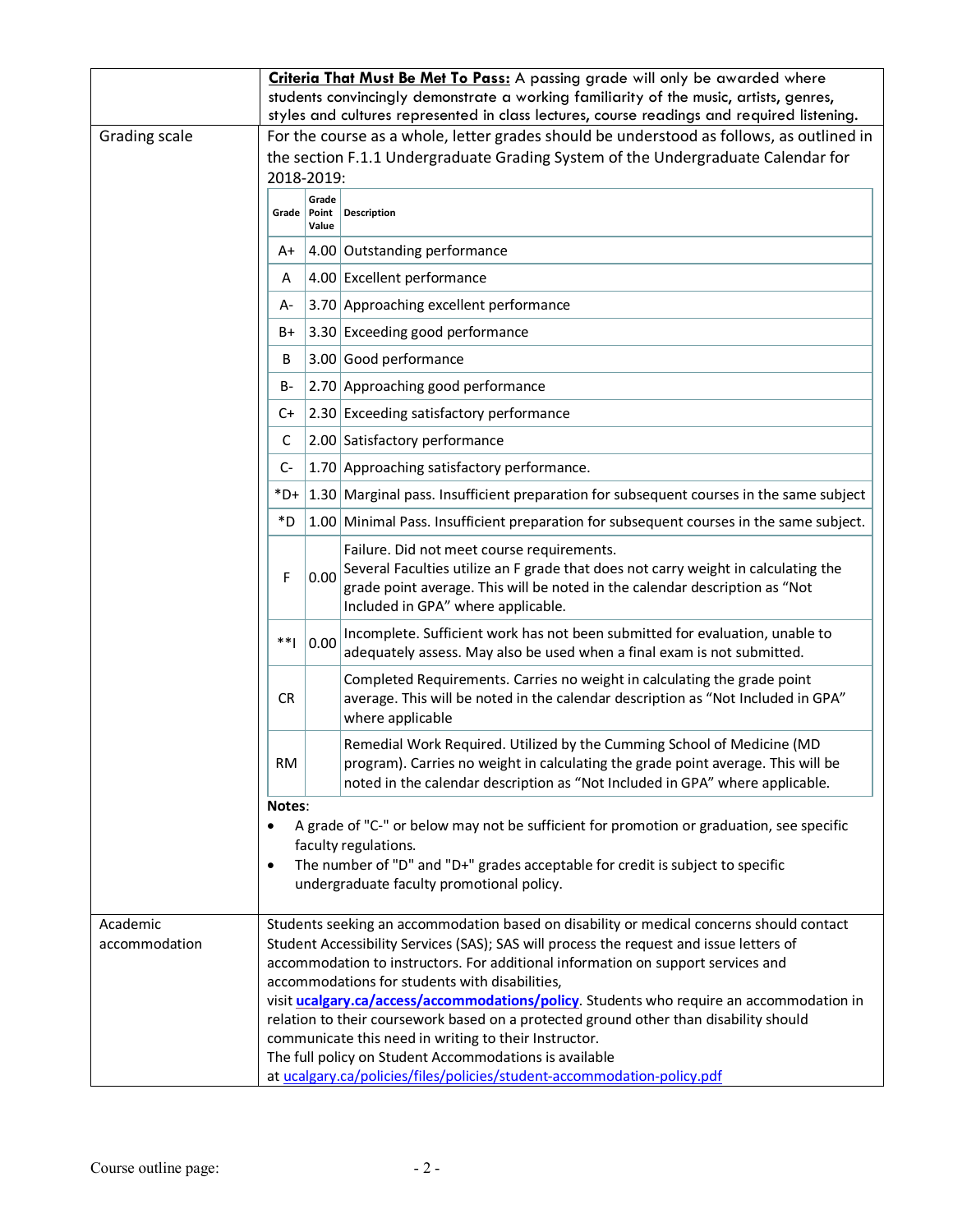|                           |                                                                                                                                                |                                   | Criteria That Must Be Met To Pass: A passing grade will only be awarded where                                                                                                                                                                                                                                                                                                                                         |  |  |
|---------------------------|------------------------------------------------------------------------------------------------------------------------------------------------|-----------------------------------|-----------------------------------------------------------------------------------------------------------------------------------------------------------------------------------------------------------------------------------------------------------------------------------------------------------------------------------------------------------------------------------------------------------------------|--|--|
|                           |                                                                                                                                                |                                   | students convincingly demonstrate a working familiarity of the music, artists, genres,<br>styles and cultures represented in class lectures, course readings and required listening.                                                                                                                                                                                                                                  |  |  |
| Grading scale             |                                                                                                                                                |                                   | For the course as a whole, letter grades should be understood as follows, as outlined in                                                                                                                                                                                                                                                                                                                              |  |  |
|                           |                                                                                                                                                |                                   | the section F.1.1 Undergraduate Grading System of the Undergraduate Calendar for                                                                                                                                                                                                                                                                                                                                      |  |  |
|                           | 2018-2019:                                                                                                                                     |                                   |                                                                                                                                                                                                                                                                                                                                                                                                                       |  |  |
|                           |                                                                                                                                                | Grade<br>Grade   Point  <br>Value | Description                                                                                                                                                                                                                                                                                                                                                                                                           |  |  |
|                           | A+                                                                                                                                             |                                   | 4.00 Outstanding performance                                                                                                                                                                                                                                                                                                                                                                                          |  |  |
|                           | A                                                                                                                                              |                                   | 4.00 Excellent performance                                                                                                                                                                                                                                                                                                                                                                                            |  |  |
|                           | A-                                                                                                                                             |                                   | 3.70 Approaching excellent performance                                                                                                                                                                                                                                                                                                                                                                                |  |  |
|                           | B+                                                                                                                                             |                                   | 3.30 Exceeding good performance                                                                                                                                                                                                                                                                                                                                                                                       |  |  |
|                           | B                                                                                                                                              |                                   | 3.00 Good performance                                                                                                                                                                                                                                                                                                                                                                                                 |  |  |
|                           | B-                                                                                                                                             |                                   | 2.70 Approaching good performance                                                                                                                                                                                                                                                                                                                                                                                     |  |  |
|                           | C+                                                                                                                                             |                                   | 2.30 Exceeding satisfactory performance                                                                                                                                                                                                                                                                                                                                                                               |  |  |
|                           | C                                                                                                                                              |                                   | 2.00 Satisfactory performance                                                                                                                                                                                                                                                                                                                                                                                         |  |  |
|                           | $C-$                                                                                                                                           |                                   | 1.70 Approaching satisfactory performance.                                                                                                                                                                                                                                                                                                                                                                            |  |  |
|                           | $*D+$                                                                                                                                          |                                   | 1.30 Marginal pass. Insufficient preparation for subsequent courses in the same subject                                                                                                                                                                                                                                                                                                                               |  |  |
|                           | *D                                                                                                                                             |                                   | 1.00 Minimal Pass. Insufficient preparation for subsequent courses in the same subject.                                                                                                                                                                                                                                                                                                                               |  |  |
|                           | F                                                                                                                                              | 0.00                              | Failure. Did not meet course requirements.<br>Several Faculties utilize an F grade that does not carry weight in calculating the<br>grade point average. This will be noted in the calendar description as "Not<br>Included in GPA" where applicable.                                                                                                                                                                 |  |  |
|                           | **                                                                                                                                             | 0.00                              | Incomplete. Sufficient work has not been submitted for evaluation, unable to<br>adequately assess. May also be used when a final exam is not submitted.                                                                                                                                                                                                                                                               |  |  |
|                           | <b>CR</b>                                                                                                                                      |                                   | Completed Requirements. Carries no weight in calculating the grade point<br>average. This will be noted in the calendar description as "Not Included in GPA"<br>where applicable                                                                                                                                                                                                                                      |  |  |
|                           | <b>RM</b>                                                                                                                                      |                                   | Remedial Work Required. Utilized by the Cumming School of Medicine (MD<br>program). Carries no weight in calculating the grade point average. This will be<br>noted in the calendar description as "Not Included in GPA" where applicable.                                                                                                                                                                            |  |  |
|                           | Notes:<br>$\bullet$                                                                                                                            |                                   | A grade of "C-" or below may not be sufficient for promotion or graduation, see specific<br>faculty regulations.<br>The number of "D" and "D+" grades acceptable for credit is subject to specific<br>undergraduate faculty promotional policy.                                                                                                                                                                       |  |  |
| Academic<br>accommodation |                                                                                                                                                |                                   | Students seeking an accommodation based on disability or medical concerns should contact<br>Student Accessibility Services (SAS); SAS will process the request and issue letters of<br>accommodation to instructors. For additional information on support services and<br>accommodations for students with disabilities,<br>visit ucalgary.ca/access/accommodations/policy. Students who require an accommodation in |  |  |
|                           | relation to their coursework based on a protected ground other than disability should<br>communicate this need in writing to their Instructor. |                                   |                                                                                                                                                                                                                                                                                                                                                                                                                       |  |  |
|                           |                                                                                                                                                |                                   | The full policy on Student Accommodations is available                                                                                                                                                                                                                                                                                                                                                                |  |  |
|                           |                                                                                                                                                |                                   | at ucalgary.ca/policies/files/policies/student-accommodation-policy.pdf                                                                                                                                                                                                                                                                                                                                               |  |  |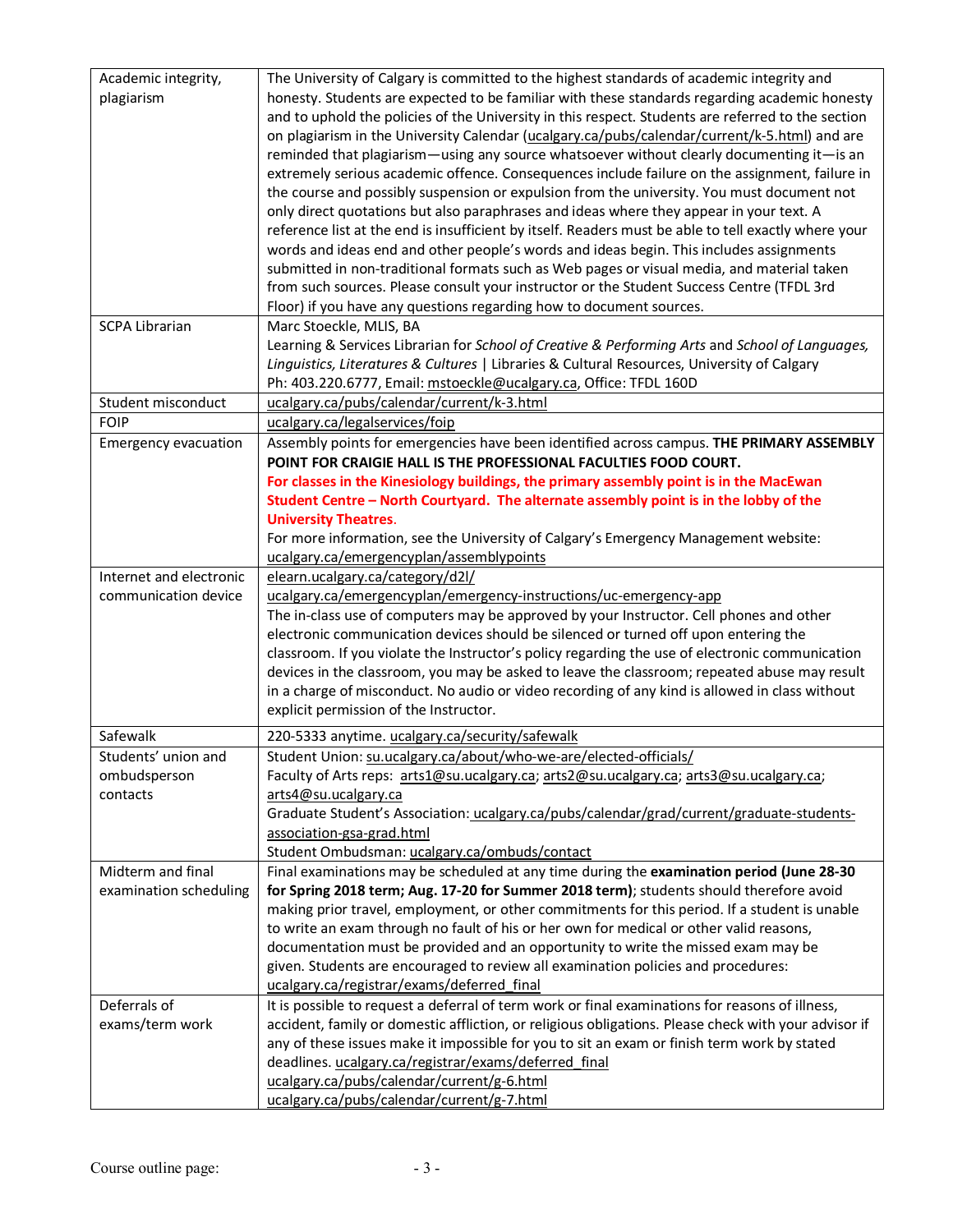| Academic integrity,         | The University of Calgary is committed to the highest standards of academic integrity and            |
|-----------------------------|------------------------------------------------------------------------------------------------------|
| plagiarism                  | honesty. Students are expected to be familiar with these standards regarding academic honesty        |
|                             | and to uphold the policies of the University in this respect. Students are referred to the section   |
|                             | on plagiarism in the University Calendar (ucalgary.ca/pubs/calendar/current/k-5.html) and are        |
|                             | reminded that plagiarism—using any source whatsoever without clearly documenting it—is an            |
|                             | extremely serious academic offence. Consequences include failure on the assignment, failure in       |
|                             |                                                                                                      |
|                             | the course and possibly suspension or expulsion from the university. You must document not           |
|                             | only direct quotations but also paraphrases and ideas where they appear in your text. A              |
|                             | reference list at the end is insufficient by itself. Readers must be able to tell exactly where your |
|                             | words and ideas end and other people's words and ideas begin. This includes assignments              |
|                             | submitted in non-traditional formats such as Web pages or visual media, and material taken           |
|                             | from such sources. Please consult your instructor or the Student Success Centre (TFDL 3rd            |
|                             | Floor) if you have any questions regarding how to document sources.                                  |
| <b>SCPA Librarian</b>       | Marc Stoeckle, MLIS, BA                                                                              |
|                             | Learning & Services Librarian for School of Creative & Performing Arts and School of Languages,      |
|                             | Linguistics, Literatures & Cultures   Libraries & Cultural Resources, University of Calgary          |
|                             | Ph: 403.220.6777, Email: mstoeckle@ucalgary.ca, Office: TFDL 160D                                    |
| Student misconduct          | ucalgary.ca/pubs/calendar/current/k-3.html                                                           |
| <b>FOIP</b>                 | ucalgary.ca/legalservices/foip                                                                       |
| <b>Emergency evacuation</b> | Assembly points for emergencies have been identified across campus. THE PRIMARY ASSEMBLY             |
|                             | POINT FOR CRAIGIE HALL IS THE PROFESSIONAL FACULTIES FOOD COURT.                                     |
|                             | For classes in the Kinesiology buildings, the primary assembly point is in the MacEwan               |
|                             | Student Centre - North Courtyard. The alternate assembly point is in the lobby of the                |
|                             | <b>University Theatres.</b>                                                                          |
|                             | For more information, see the University of Calgary's Emergency Management website:                  |
|                             | ucalgary.ca/emergencyplan/assemblypoints                                                             |
| Internet and electronic     | elearn.ucalgary.ca/category/d2l/                                                                     |
| communication device        | ucalgary.ca/emergencyplan/emergency-instructions/uc-emergency-app                                    |
|                             | The in-class use of computers may be approved by your Instructor. Cell phones and other              |
|                             | electronic communication devices should be silenced or turned off upon entering the                  |
|                             | classroom. If you violate the Instructor's policy regarding the use of electronic communication      |
|                             | devices in the classroom, you may be asked to leave the classroom; repeated abuse may result         |
|                             | in a charge of misconduct. No audio or video recording of any kind is allowed in class without       |
|                             | explicit permission of the Instructor.                                                               |
| Safewalk                    | 220-5333 anytime. ucalgary.ca/security/safewalk                                                      |
| Students' union and         | Student Union: su.ucalgary.ca/about/who-we-are/elected-officials/                                    |
| ombudsperson                | Faculty of Arts reps: arts1@su.ucalgary.ca; arts2@su.ucalgary.ca; arts3@su.ucalgary.ca;              |
| contacts                    | arts4@su.ucalgary.ca                                                                                 |
|                             | Graduate Student's Association: ucalgary.ca/pubs/calendar/grad/current/graduate-students-            |
|                             | association-gsa-grad.html                                                                            |
|                             | Student Ombudsman: ucalgary.ca/ombuds/contact                                                        |
| Midterm and final           | Final examinations may be scheduled at any time during the examination period (June 28-30            |
| examination scheduling      | for Spring 2018 term; Aug. 17-20 for Summer 2018 term); students should therefore avoid              |
|                             | making prior travel, employment, or other commitments for this period. If a student is unable        |
|                             | to write an exam through no fault of his or her own for medical or other valid reasons,              |
|                             | documentation must be provided and an opportunity to write the missed exam may be                    |
|                             | given. Students are encouraged to review all examination policies and procedures:                    |
|                             | ucalgary.ca/registrar/exams/deferred final                                                           |
| Deferrals of                | It is possible to request a deferral of term work or final examinations for reasons of illness,      |
| exams/term work             | accident, family or domestic affliction, or religious obligations. Please check with your advisor if |
|                             | any of these issues make it impossible for you to sit an exam or finish term work by stated          |
|                             | deadlines. ucalgary.ca/registrar/exams/deferred final                                                |
|                             | ucalgary.ca/pubs/calendar/current/g-6.html                                                           |
|                             | ucalgary.ca/pubs/calendar/current/g-7.html                                                           |